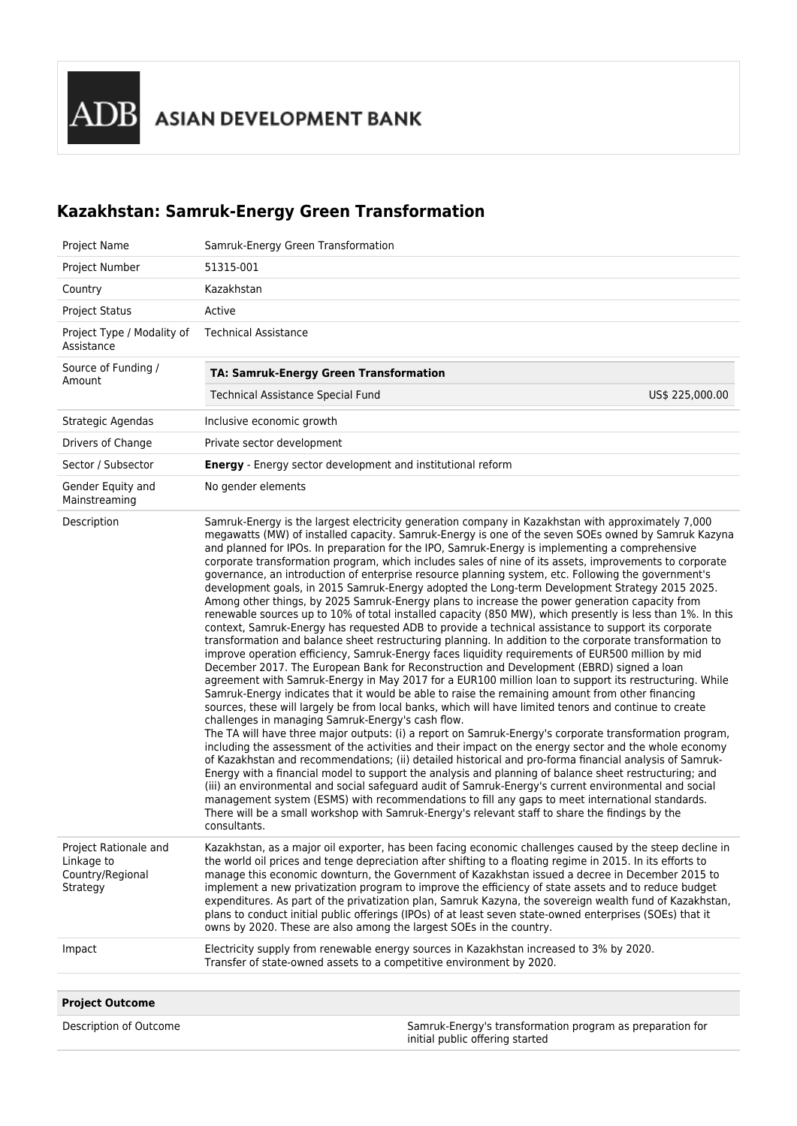## **Kazakhstan: Samruk-Energy Green Transformation**

| Project Name                                                        | Samruk-Energy Green Transformation                                                                                                                                                                                                                                                                                                                                                                                                                                                                                                                                                                                                                                                                                                                                                                                                                                                                                                                                                                                                                                                                                                                                                                                                                                                                                                                                                                                                                                                                                                                                                                                                                                                                                                                                                                                                                                                                                                                                                                                                                                                                                                                                                                                                                                                                                                                                                                                        |  |  |
|---------------------------------------------------------------------|---------------------------------------------------------------------------------------------------------------------------------------------------------------------------------------------------------------------------------------------------------------------------------------------------------------------------------------------------------------------------------------------------------------------------------------------------------------------------------------------------------------------------------------------------------------------------------------------------------------------------------------------------------------------------------------------------------------------------------------------------------------------------------------------------------------------------------------------------------------------------------------------------------------------------------------------------------------------------------------------------------------------------------------------------------------------------------------------------------------------------------------------------------------------------------------------------------------------------------------------------------------------------------------------------------------------------------------------------------------------------------------------------------------------------------------------------------------------------------------------------------------------------------------------------------------------------------------------------------------------------------------------------------------------------------------------------------------------------------------------------------------------------------------------------------------------------------------------------------------------------------------------------------------------------------------------------------------------------------------------------------------------------------------------------------------------------------------------------------------------------------------------------------------------------------------------------------------------------------------------------------------------------------------------------------------------------------------------------------------------------------------------------------------------------|--|--|
| Project Number                                                      | 51315-001                                                                                                                                                                                                                                                                                                                                                                                                                                                                                                                                                                                                                                                                                                                                                                                                                                                                                                                                                                                                                                                                                                                                                                                                                                                                                                                                                                                                                                                                                                                                                                                                                                                                                                                                                                                                                                                                                                                                                                                                                                                                                                                                                                                                                                                                                                                                                                                                                 |  |  |
| Country                                                             | Kazakhstan                                                                                                                                                                                                                                                                                                                                                                                                                                                                                                                                                                                                                                                                                                                                                                                                                                                                                                                                                                                                                                                                                                                                                                                                                                                                                                                                                                                                                                                                                                                                                                                                                                                                                                                                                                                                                                                                                                                                                                                                                                                                                                                                                                                                                                                                                                                                                                                                                |  |  |
| <b>Project Status</b>                                               | Active                                                                                                                                                                                                                                                                                                                                                                                                                                                                                                                                                                                                                                                                                                                                                                                                                                                                                                                                                                                                                                                                                                                                                                                                                                                                                                                                                                                                                                                                                                                                                                                                                                                                                                                                                                                                                                                                                                                                                                                                                                                                                                                                                                                                                                                                                                                                                                                                                    |  |  |
| Project Type / Modality of<br>Assistance                            | <b>Technical Assistance</b>                                                                                                                                                                                                                                                                                                                                                                                                                                                                                                                                                                                                                                                                                                                                                                                                                                                                                                                                                                                                                                                                                                                                                                                                                                                                                                                                                                                                                                                                                                                                                                                                                                                                                                                                                                                                                                                                                                                                                                                                                                                                                                                                                                                                                                                                                                                                                                                               |  |  |
| Source of Funding /<br>Amount                                       | <b>TA: Samruk-Energy Green Transformation</b>                                                                                                                                                                                                                                                                                                                                                                                                                                                                                                                                                                                                                                                                                                                                                                                                                                                                                                                                                                                                                                                                                                                                                                                                                                                                                                                                                                                                                                                                                                                                                                                                                                                                                                                                                                                                                                                                                                                                                                                                                                                                                                                                                                                                                                                                                                                                                                             |  |  |
|                                                                     | Technical Assistance Special Fund<br>US\$ 225,000.00                                                                                                                                                                                                                                                                                                                                                                                                                                                                                                                                                                                                                                                                                                                                                                                                                                                                                                                                                                                                                                                                                                                                                                                                                                                                                                                                                                                                                                                                                                                                                                                                                                                                                                                                                                                                                                                                                                                                                                                                                                                                                                                                                                                                                                                                                                                                                                      |  |  |
| Strategic Agendas                                                   | Inclusive economic growth                                                                                                                                                                                                                                                                                                                                                                                                                                                                                                                                                                                                                                                                                                                                                                                                                                                                                                                                                                                                                                                                                                                                                                                                                                                                                                                                                                                                                                                                                                                                                                                                                                                                                                                                                                                                                                                                                                                                                                                                                                                                                                                                                                                                                                                                                                                                                                                                 |  |  |
| Drivers of Change                                                   | Private sector development                                                                                                                                                                                                                                                                                                                                                                                                                                                                                                                                                                                                                                                                                                                                                                                                                                                                                                                                                                                                                                                                                                                                                                                                                                                                                                                                                                                                                                                                                                                                                                                                                                                                                                                                                                                                                                                                                                                                                                                                                                                                                                                                                                                                                                                                                                                                                                                                |  |  |
| Sector / Subsector                                                  | <b>Energy</b> - Energy sector development and institutional reform                                                                                                                                                                                                                                                                                                                                                                                                                                                                                                                                                                                                                                                                                                                                                                                                                                                                                                                                                                                                                                                                                                                                                                                                                                                                                                                                                                                                                                                                                                                                                                                                                                                                                                                                                                                                                                                                                                                                                                                                                                                                                                                                                                                                                                                                                                                                                        |  |  |
| Gender Equity and<br>Mainstreaming                                  | No gender elements                                                                                                                                                                                                                                                                                                                                                                                                                                                                                                                                                                                                                                                                                                                                                                                                                                                                                                                                                                                                                                                                                                                                                                                                                                                                                                                                                                                                                                                                                                                                                                                                                                                                                                                                                                                                                                                                                                                                                                                                                                                                                                                                                                                                                                                                                                                                                                                                        |  |  |
| Description                                                         | Samruk-Energy is the largest electricity generation company in Kazakhstan with approximately 7,000<br>megawatts (MW) of installed capacity. Samruk-Energy is one of the seven SOEs owned by Samruk Kazyna<br>and planned for IPOs. In preparation for the IPO, Samruk-Energy is implementing a comprehensive<br>corporate transformation program, which includes sales of nine of its assets, improvements to corporate<br>governance, an introduction of enterprise resource planning system, etc. Following the government's<br>development goals, in 2015 Samruk-Energy adopted the Long-term Development Strategy 2015 2025.<br>Among other things, by 2025 Samruk-Energy plans to increase the power generation capacity from<br>renewable sources up to 10% of total installed capacity (850 MW), which presently is less than 1%. In this<br>context, Samruk-Energy has requested ADB to provide a technical assistance to support its corporate<br>transformation and balance sheet restructuring planning. In addition to the corporate transformation to<br>improve operation efficiency, Samruk-Energy faces liquidity requirements of EUR500 million by mid<br>December 2017. The European Bank for Reconstruction and Development (EBRD) signed a loan<br>agreement with Samruk-Energy in May 2017 for a EUR100 million loan to support its restructuring. While<br>Samruk-Energy indicates that it would be able to raise the remaining amount from other financing<br>sources, these will largely be from local banks, which will have limited tenors and continue to create<br>challenges in managing Samruk-Energy's cash flow.<br>The TA will have three major outputs: (i) a report on Samruk-Energy's corporate transformation program,<br>including the assessment of the activities and their impact on the energy sector and the whole economy<br>of Kazakhstan and recommendations; (ii) detailed historical and pro-forma financial analysis of Samruk-<br>Energy with a financial model to support the analysis and planning of balance sheet restructuring; and<br>(iii) an environmental and social safeguard audit of Samruk-Energy's current environmental and social<br>management system (ESMS) with recommendations to fill any gaps to meet international standards.<br>There will be a small workshop with Samruk-Energy's relevant staff to share the findings by the<br>consultants. |  |  |
| Project Rationale and<br>Linkage to<br>Country/Regional<br>Strategy | Kazakhstan, as a major oil exporter, has been facing economic challenges caused by the steep decline in<br>the world oil prices and tenge depreciation after shifting to a floating regime in 2015. In its efforts to<br>manage this economic downturn, the Government of Kazakhstan issued a decree in December 2015 to<br>implement a new privatization program to improve the efficiency of state assets and to reduce budget<br>expenditures. As part of the privatization plan, Samruk Kazyna, the sovereign wealth fund of Kazakhstan,<br>plans to conduct initial public offerings (IPOs) of at least seven state-owned enterprises (SOEs) that it<br>owns by 2020. These are also among the largest SOEs in the country.                                                                                                                                                                                                                                                                                                                                                                                                                                                                                                                                                                                                                                                                                                                                                                                                                                                                                                                                                                                                                                                                                                                                                                                                                                                                                                                                                                                                                                                                                                                                                                                                                                                                                          |  |  |
| Impact                                                              | Electricity supply from renewable energy sources in Kazakhstan increased to 3% by 2020.<br>Transfer of state-owned assets to a competitive environment by 2020.                                                                                                                                                                                                                                                                                                                                                                                                                                                                                                                                                                                                                                                                                                                                                                                                                                                                                                                                                                                                                                                                                                                                                                                                                                                                                                                                                                                                                                                                                                                                                                                                                                                                                                                                                                                                                                                                                                                                                                                                                                                                                                                                                                                                                                                           |  |  |
|                                                                     |                                                                                                                                                                                                                                                                                                                                                                                                                                                                                                                                                                                                                                                                                                                                                                                                                                                                                                                                                                                                                                                                                                                                                                                                                                                                                                                                                                                                                                                                                                                                                                                                                                                                                                                                                                                                                                                                                                                                                                                                                                                                                                                                                                                                                                                                                                                                                                                                                           |  |  |
| <b>Project Outcome</b>                                              |                                                                                                                                                                                                                                                                                                                                                                                                                                                                                                                                                                                                                                                                                                                                                                                                                                                                                                                                                                                                                                                                                                                                                                                                                                                                                                                                                                                                                                                                                                                                                                                                                                                                                                                                                                                                                                                                                                                                                                                                                                                                                                                                                                                                                                                                                                                                                                                                                           |  |  |
| Description of Outcome                                              | Samruk-Energy's transformation program as preparation for<br>initial public offering started                                                                                                                                                                                                                                                                                                                                                                                                                                                                                                                                                                                                                                                                                                                                                                                                                                                                                                                                                                                                                                                                                                                                                                                                                                                                                                                                                                                                                                                                                                                                                                                                                                                                                                                                                                                                                                                                                                                                                                                                                                                                                                                                                                                                                                                                                                                              |  |  |